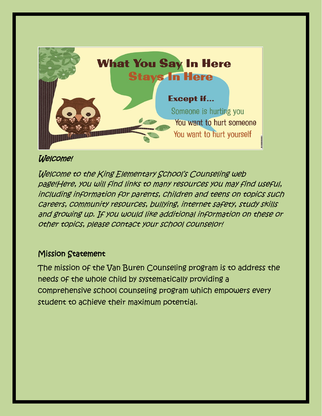

# Welcome!

Welcome to the King Elementary School's Counseling web page!Here, you will find links to many resources you may find useful, including information for parents, children and teens on topics such careers, community resources, bullying, internet safety, study skills and growing up. If you would like additional information on these or other topics, please contact your school counselor!

# Mission Statement

The mission of the Van Buren Counseling program is to address the needs of the whole child by systematically providing a comprehensive school counseling program which empowers every student to achieve their maximum potential.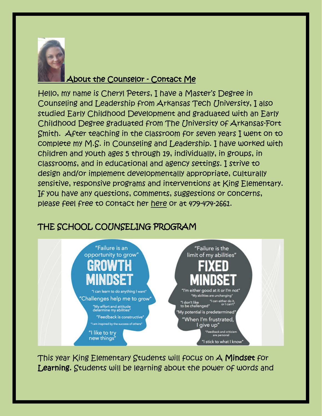

# About the Counselor - Contact Me

Hello, my name is Cheryl Peters, I have a Master's Degree in Counseling and Leadership from Arkansas Tech University, I also studied Early Childhood Development and graduated with an Early Childhood Degree graduated from The University of Arkansas-Fort Smith. After teaching in the classroom for seven years I went on to complete my M.S. in Counseling and Leadership. I have worked with children and youth ages 5 through 19, individually, in groups, in classrooms, and in educational and agency settings. I strive to design and/or implement developmentally appropriate, culturally sensitive, responsive programs and interventions at King Elementary. If you have any questions, comments, suggestions or concerns, please feel free to contact her [here](about:blank) or at 479-474-2661.

# THE SCHOOL COUNSELING PROGRAM



This year King Elementary Students will focus on A Mindset for Learning. Students will be learning about the power of words and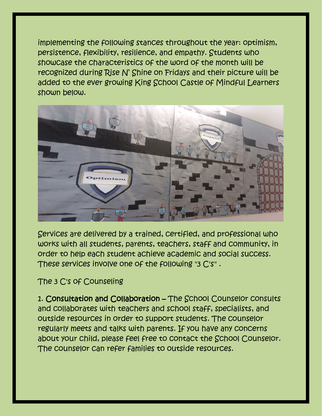implementing the following stances throughout the year: optimism, persistence, flexibility, resilience, and empathy. Students who showcase the characteristics of the word of the month will be recognized during Rise N' Shine on Fridays and their picture will be added to the ever growing King School Castle of Mindful Learners shown below.



Services are delivered by a trained, certified, and professional who works with all students, parents, teachers, staff and community, in order to help each student achieve academic and social success. These services involve one of the following "3 C's" .

# The 3 C's of Counseling

1. Consultation and Collaboration – The School Counselor consults and collaborates with teachers and school staff, specialists, and outside resources in order to support students. The counselor regularly meets and talks with parents. If you have any concerns about your child, please feel free to contact the School Counselor. The counselor can refer families to outside resources.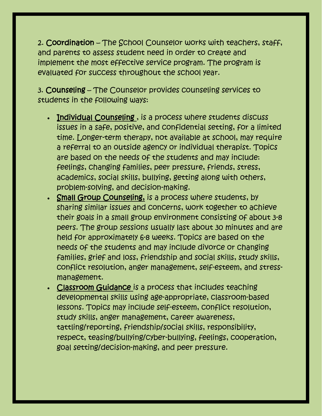2. Coordination – The School Counselor works with teachers, staff, and parents to assess student need in order to create and implement the most effective service program. The program is evaluated for success throughout the school year.

3. Counseling – The Counselor provides counseling services to students in the following ways:

- Individual Counseling , is a process where students discuss issues in a safe, positive, and confidential setting, for a limited time. Longer-term therapy, not available at school, may require a referral to an outside agency or individual therapist. Topics are based on the needs of the students and may include: feelings, changing families, peer pressure, friends, stress, academics, social skills, bullying, getting along with others, problem-solving, and decision-making.
- Small Group Counseling, is a process where students, by sharing similar issues and concerns, work together to achieve their goals in a small group environment consisting of about 3-8 peers. The group sessions usually last about 30 minutes and are held for approximately 6-8 weeks. Topics are based on the needs of the students and may include divorce or changing families, grief and loss, friendship and social skills, study skills, conflict resolution, anger management, self-esteem, and stressmanagement.
- Classroom Guidance is a process that includes teaching developmental skills using age-appropriate, classroom-based lessons. Topics may include self-esteem, conflict resolution, study skills, anger management, career awareness, tattling/reporting, friendship/social skills, responsibility, respect, teasing/bullying/cyber-bullying, feelings, cooperation, goal setting/decision-making, and peer pressure.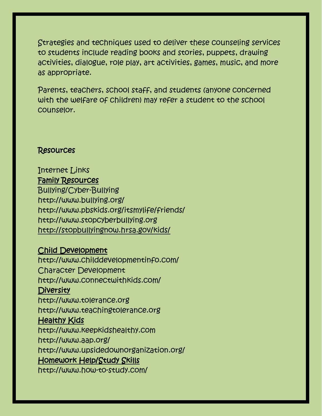Strategies and techniques used to deliver these counseling services to students include reading books and stories, puppets, drawing activities, dialogue, role play, art activities, games, music, and more as appropriate.

Parents, teachers, school staff, and students (anyone concerned with the welfare of children) may refer a student to the school counselor.

#### Resources

#### Internet Links Family Resources

Bullying/Cyber-Bullying http:/[/www.bullying.org/](http://www.bullying.org/) <http://www.pbskids.org/itsmylife/friends/> [http://www.stopcyberbullying.org](http://www.stopcyberbullying.org/) <http://stopbullyingnow.hrsa.gov/kids/>

## Child Development

[http://www.childdevelopmentinfo.com/](http://www.connectwithkids.com/) Character Development <http://www.connectwithkids.com/> **Diversity** http://www.tolerance.org http://www.teachingtolerance.org Healthy Kids [http://www.keepkidshealthy.com](http://www.keepkidshealthy.com/) <http://www.aap.org/> <http://www.upsidedownorganization.org/> Homework Help/Study Skills <http://www.how-to-study.com/>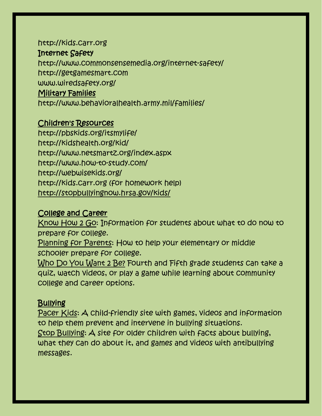#### [http://kids.carr.org](http://kids.carr.org/)

#### Internet Safety

<http://www.commonsensemedia.org/internet-safety/> [http://getgamesmart.com](http://getgamesmart.com/) [www.wiredsafety.org/](http://www.wiredsafety.org/) Military Families <http://www.behavioralhealth.army.mil/families/>

#### Children's Resources

<http://pbskids.org/itsmylife/> <http://kidshealth.org/kid/> <http://www.netsmartz.org/index.aspx> <http://www.how-to-study.com/> <http://webwisekids.org/> [http://kids.carr.org](http://kids.carr.org/) (for homework help) <http://stopbullyingnow.hrsa.gov/kids/>

# College and Career

[Know How 2 Go:](http://www.knowhow2go.org/middle.php) Information for students about what to do now to prepare for college.

[Planning for Parents:](http://www.greatschools.org/college-prep/planning/594-middle-school-parents-college-prep-guide.gs?page=all) How to help your elementary or middle schooler prepare for college.

[Who Do You Want 2 Be?](http://whodouwant2b.com/student/pathways) Fourth and Fifth grade students can take a quiz, watch videos, or play a game while learning about community college and career options.

## **Bullying**

[Pacer Kids:](http://www.pacerkidsagainstbullying.org/) A child-friendly site with games, videos and information to help them prevent and intervene in bullying situations. [Stop Bullying:](http://www.stopbullying.gov/kids/) A site for older children with facts about bullying, what they can do about it, and games and videos with antibullying messages.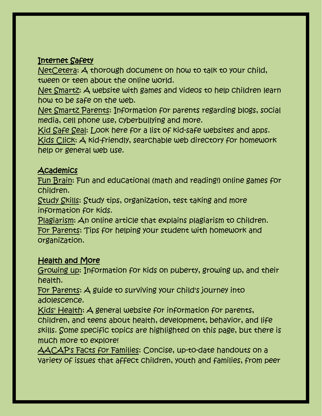## Internet Safety

[NetCetera:](http://www.schoolcounselor.org/rc_files/889/NetCetera.pdf) A thorough document on how to talk to your child, tween or teen about the online world.

[Net Smartz:](http://www.netsmartzkids.org/) A website with games and videos to help children learn how to be safe on the web.

[Net Smartz Parents:](http://www.netsmartz.org/Parents) Information for parents regarding blogs, social media, cell phone use, cyberbullying and more.

[Kid Safe Seal:](http://www.kidsafeseal.com/certifiedproducts.html) Look here for a list of kid-safe websites and apps. [Kids Click:](http://www.kidsclick.org/) A kid-friendly, searchable web directory for homework help or general web use.

## **Academics**

[Fun Brain:](http://www.funbrain.com/parents/index.html) Fun and educational (math and reading!) online games for children.

[Study Skills:](http://kidshealth.org/kid/centers/homework.html#cat20597) Study tips, organization, test taking and more information for kids.

[Plagiarism:](http://kidshealth.org/kid/feeling/school/plagiarism.html#cat20067) An online article that explains plagiarism to children. [For Parents:](http://kidshealth.org/parent/positive/resources/homework_help.html#cat170) Tips for helping your student with homework and organization.

## Health and More

[Growing](http://kidshealth.org/kid/grow/#cat20597) up: Information for kids on puberty, growing up, and their health.

[For Parents:](http://kidshealth.org/parent/growth/growing/adolescence.html) A guide to surviving your child's journey into adolescence.

[Kids' Health:](http://kidshealth.org/parent/kh_misc/about.html#cat20574) A general website for information for parents, children, and teens about health, development, behavior, and life skills. Some specific topics are highlighted on this page, but there is much more to explore!

[AACAP's Facts for Families:](http://www.aacap.org/cs/root/facts_for_families/facts_for_families) Concise, up-to-date handouts on a variety of issues that affect children, youth and families, from peer